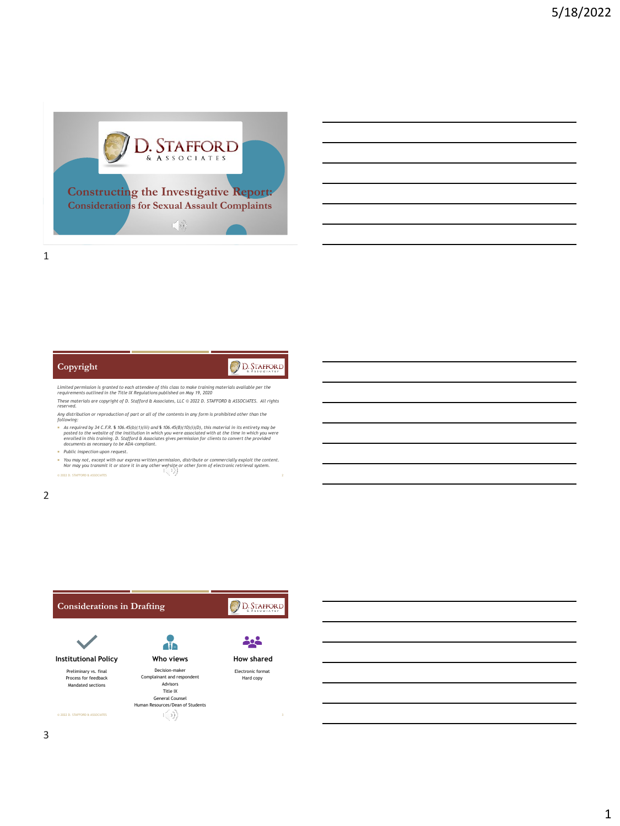

## D. STAFFORD

*Limited permission is granted to each attendee of this class to make training materials available per the requirements outlined in the Title IX Regulations published on May 19, 2020*

*These materials are copyright of D. Stafford & Associates, LLC © 2022 D. STAFFORD & ASSOCIATES. All rights reserved.*

*Any distribution or reproduction of part or all of the contents in any form is prohibited other than the following:*

- and to be the State of the C. R. \$ 106.45(b)(1)(ii) and \$ 106.45(b)(10)(i)(b), this material in its entirety may be<br>posted to the website of the institution in which you were associated with at the time in which you were<br>e
- *Public inspection upon request.*

**Copyright**

 *You may not, except with our express written permission, distribute or commercially exploit the content. Nor may you transmit it or store it in any other website or other form of electronic retrieval system.* © 2022 D. STAFFORD & ASSOCIATES 2

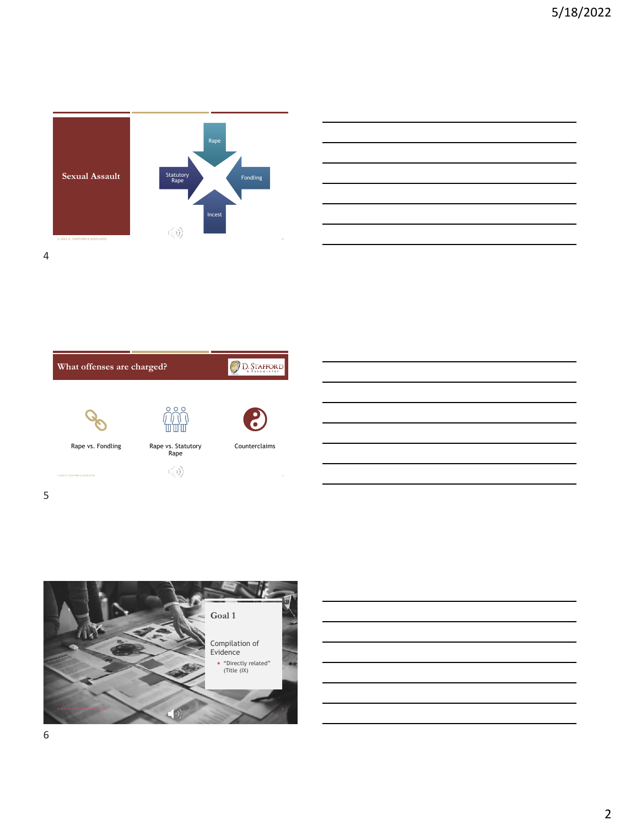









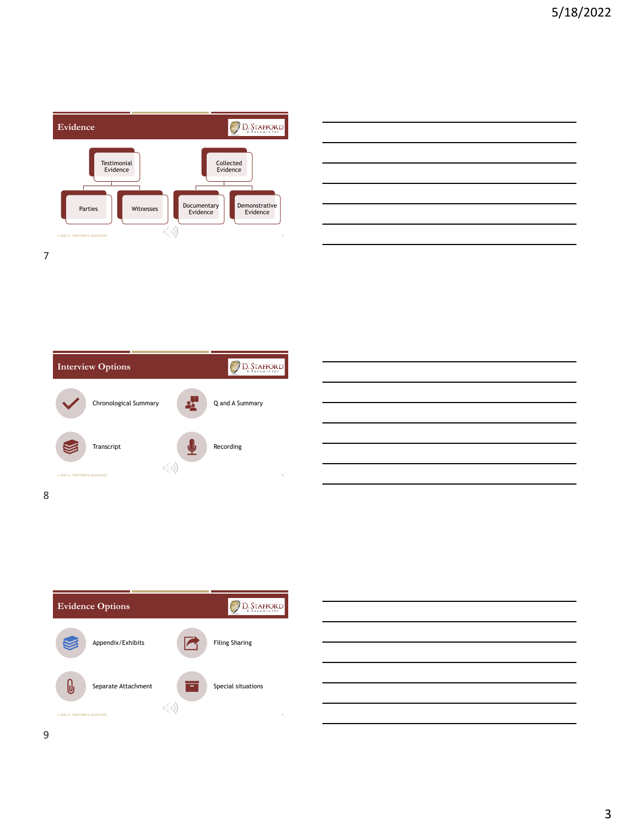

| <u> 1989 - Johann Stoff, amerikansk politiker (d. 1989)</u>                                                                                                                                                                   |  |  |
|-------------------------------------------------------------------------------------------------------------------------------------------------------------------------------------------------------------------------------|--|--|
| the control of the control of the control of the control of the control of the control of the control of the control of the control of the control of the control of the control of the control of the control of the control |  |  |
| <u> 1989 - Andrea Andrew Maria (h. 1989).</u>                                                                                                                                                                                 |  |  |
| <u> 1989 - Andrea Santa Andrea Andrea Andrea Andrea Andrea Andrea Andrea Andrea Andrea Andrea Andrea Andrea Andr</u>                                                                                                          |  |  |
| <u> 1989 - Andrea Santa Andrea Andrea Andrea Andrea Andrea Andrea Andrea Andrea Andrea Andrea Andrea Andrea Andr</u>                                                                                                          |  |  |
| <u> 1989 - Andrea Santa Andrea Andrea Andrea Andrea Andrea Andrea Andrea Andrea Andrea Andrea Andrea Andrea Andr</u>                                                                                                          |  |  |
|                                                                                                                                                                                                                               |  |  |







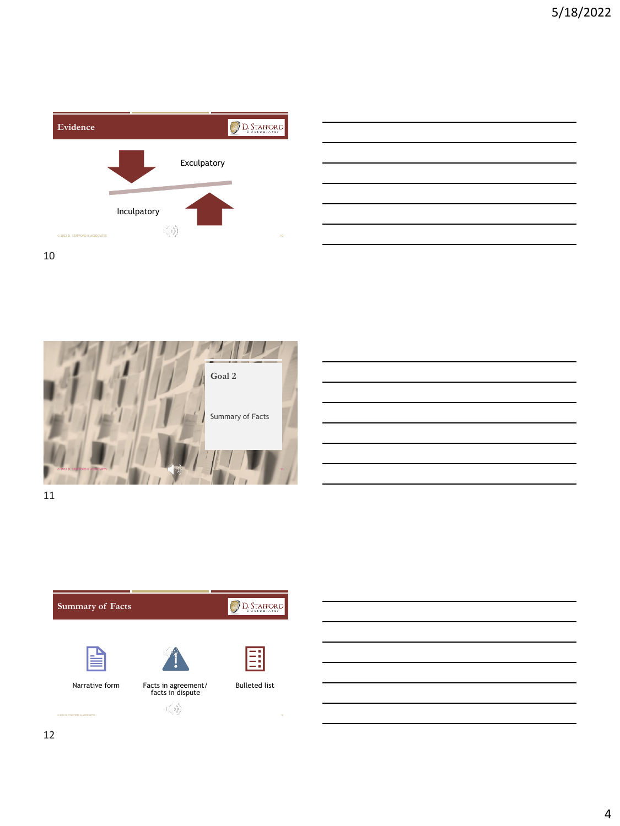





| <u> 1990 - Jan Salaman Salaman (j. 1980).</u>               |  |  |                          |  |
|-------------------------------------------------------------|--|--|--------------------------|--|
|                                                             |  |  |                          |  |
|                                                             |  |  | $\overline{\phantom{a}}$ |  |
|                                                             |  |  |                          |  |
|                                                             |  |  |                          |  |
|                                                             |  |  |                          |  |
| <u> 1989 - Johann Stoff, Amerikaansk politiker († 1908)</u> |  |  |                          |  |
|                                                             |  |  |                          |  |

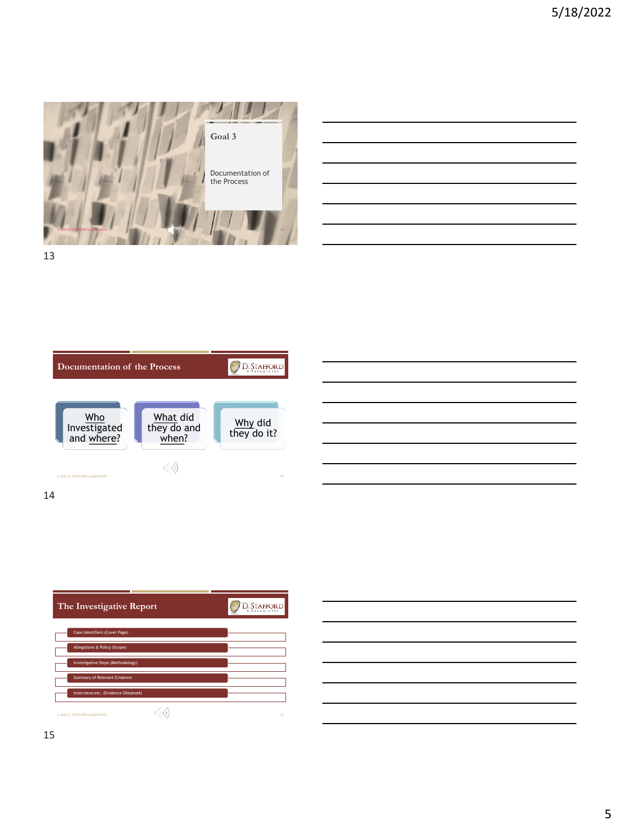

| the contract of the contract of the contract of the contract of the contract of the contract of                        |  |  |
|------------------------------------------------------------------------------------------------------------------------|--|--|
|                                                                                                                        |  |  |
|                                                                                                                        |  |  |
| <u> 1989 - Johann Stoff, amerikansk politiker (d. 1989)</u>                                                            |  |  |
| <u> 1989 - Johann John Stein, mars et al. 1989 - John Stein, mars et al. 1989 - John Stein, mars et al. 1989 - Joh</u> |  |  |
|                                                                                                                        |  |  |
|                                                                                                                        |  |  |
|                                                                                                                        |  |  |





D. STAFFORD **The Investigative Report** Case Identifiers (Cover Page) Allegations & Policy (Scope) Investigative Steps (Methodology) Summary of Relevant Evidence *I*s etc. (Evide © 2022 D. STAFFORD & ASSOCIATES 15

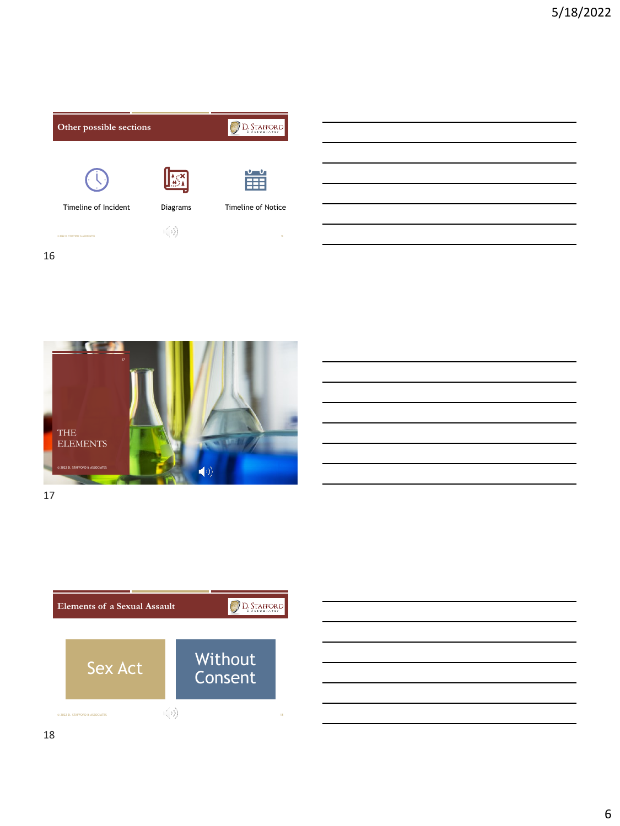





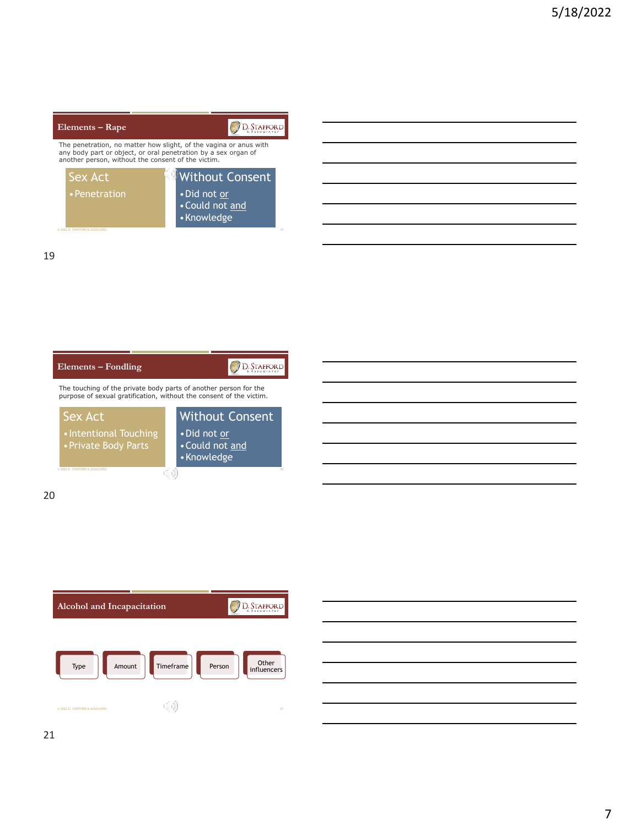## D. STAFFORD **Elements – Rape** The penetration, no matter how slight, of the vagina or anus with<br>any body part or object, or oral penetration by a sex organ of<br>another person, without the consent of the victim. Sex Act Without Consent







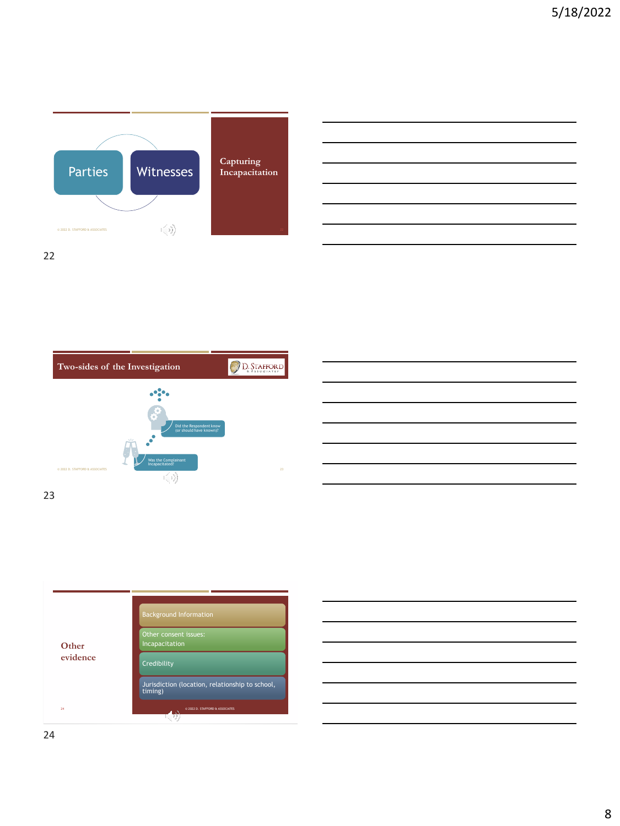